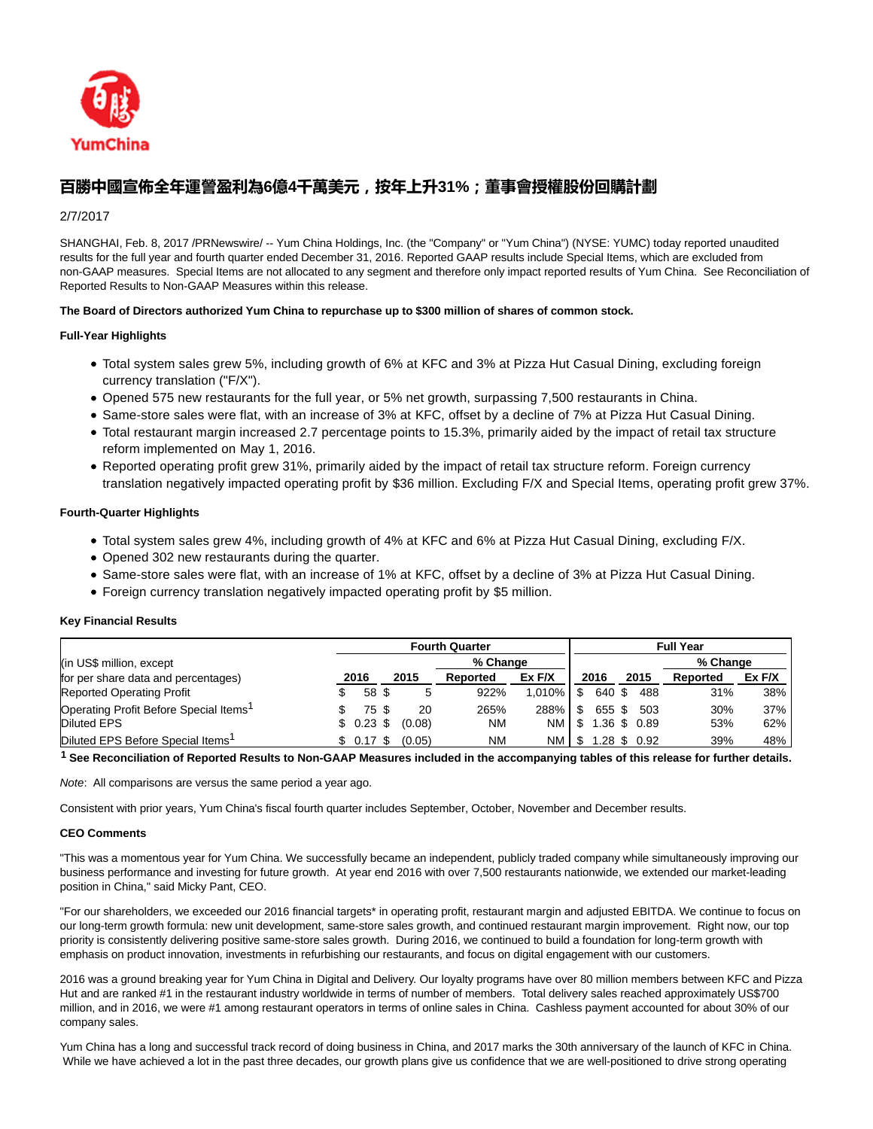

# **百勝中國宣佈全年運謍盈利為6億4千萬美元,按年上升31%;董事會授權股份回購計劃**

# 2/7/2017

SHANGHAI, Feb. 8, 2017 /PRNewswire/ -- Yum China Holdings, Inc. (the "Company" or "Yum China") (NYSE: YUMC) today reported unaudited results for the full year and fourth quarter ended December 31, 2016. Reported GAAP results include Special Items, which are excluded from non-GAAP measures. Special Items are not allocated to any segment and therefore only impact reported results of Yum China. See Reconciliation of Reported Results to Non-GAAP Measures within this release.

# **The Board of Directors authorized Yum China to repurchase up to \$300 million of shares of common stock.**

# **Full-Year Highlights**

- Total system sales grew 5%, including growth of 6% at KFC and 3% at Pizza Hut Casual Dining, excluding foreign currency translation ("F/X").
- Opened 575 new restaurants for the full year, or 5% net growth, surpassing 7,500 restaurants in China.
- Same-store sales were flat, with an increase of 3% at KFC, offset by a decline of 7% at Pizza Hut Casual Dining.
- Total restaurant margin increased 2.7 percentage points to 15.3%, primarily aided by the impact of retail tax structure reform implemented on May 1, 2016.
- Reported operating profit grew 31%, primarily aided by the impact of retail tax structure reform. Foreign currency translation negatively impacted operating profit by \$36 million. Excluding F/X and Special Items, operating profit grew 37%.

# **Fourth-Quarter Highlights**

- Total system sales grew 4%, including growth of 4% at KFC and 6% at Pizza Hut Casual Dining, excluding F/X.
- Opened 302 new restaurants during the quarter.
- Same-store sales were flat, with an increase of 1% at KFC, offset by a decline of 3% at Pizza Hut Casual Dining.
- Foreign currency translation negatively impacted operating profit by \$5 million.

## **Key Financial Results**

|                                                    | <b>Fourth Quarter</b><br><b>Full Year</b> |  |        |           |           |     |                |      |          |        |
|----------------------------------------------------|-------------------------------------------|--|--------|-----------|-----------|-----|----------------|------|----------|--------|
| (in US\$ million, except                           |                                           |  |        | % Change  |           |     |                |      | % Change |        |
| for per share data and percentages)                | 2016                                      |  | 2015   | Reported  | $Ex$ F/X  |     | 2016           | 2015 | Reported | Ex F/X |
| <b>Reported Operating Profit</b>                   | 58 \$                                     |  |        | 922%      | 1.010%    | \$  | 640 \$         | 488  | 31%      | 38%    |
| Operating Profit Before Special Items <sup>1</sup> | 75\$                                      |  | 20     | 265%      | 288%      | \$  | 655 \$ 503     |      | 30%      | 37%    |
| <b>Diluted EPS</b>                                 | $$0.23$ \$                                |  | (0.08) | <b>NM</b> | <b>NM</b> | \$  | 1.36 \$ 0.89   |      | 53%      | 62%    |
| Diluted EPS Before Special Items <sup>1</sup>      | \$ 0.17 \$                                |  | (0.05) | <b>NM</b> | <b>NM</b> | \$. | $1.28$ \$ 0.92 |      | 39%      | 48%    |

**1 See Reconciliation of Reported Results to Non-GAAP Measures included in the accompanying tables of this release for further details.**

Note: All comparisons are versus the same period a year ago.

Consistent with prior years, Yum China's fiscal fourth quarter includes September, October, November and December results.

## **CEO Comments**

"This was a momentous year for Yum China. We successfully became an independent, publicly traded company while simultaneously improving our business performance and investing for future growth. At year end 2016 with over 7,500 restaurants nationwide, we extended our market-leading position in China," said Micky Pant, CEO.

"For our shareholders, we exceeded our 2016 financial targets\* in operating profit, restaurant margin and adjusted EBITDA. We continue to focus on our long-term growth formula: new unit development, same-store sales growth, and continued restaurant margin improvement. Right now, our top priority is consistently delivering positive same-store sales growth. During 2016, we continued to build a foundation for long-term growth with emphasis on product innovation, investments in refurbishing our restaurants, and focus on digital engagement with our customers.

2016 was a ground breaking year for Yum China in Digital and Delivery. Our loyalty programs have over 80 million members between KFC and Pizza Hut and are ranked #1 in the restaurant industry worldwide in terms of number of members. Total delivery sales reached approximately US\$700 million, and in 2016, we were #1 among restaurant operators in terms of online sales in China. Cashless payment accounted for about 30% of our company sales.

Yum China has a long and successful track record of doing business in China, and 2017 marks the 30th anniversary of the launch of KFC in China. While we have achieved a lot in the past three decades, our growth plans give us confidence that we are well-positioned to drive strong operating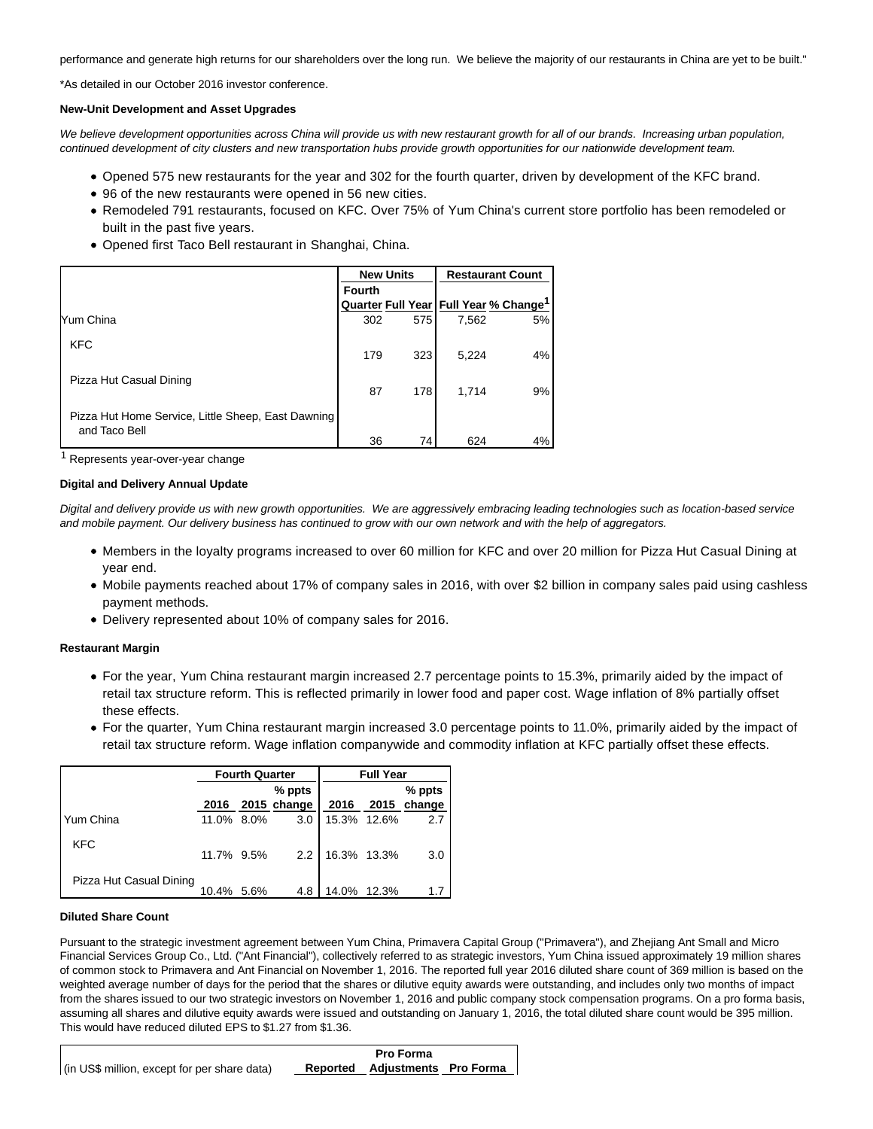performance and generate high returns for our shareholders over the long run. We believe the majority of our restaurants in China are yet to be built."

\*As detailed in our October 2016 investor conference.

#### **New-Unit Development and Asset Upgrades**

We believe development opportunities across China will provide us with new restaurant growth for all of our brands. Increasing urban population, continued development of city clusters and new transportation hubs provide growth opportunities for our nationwide development team.

- Opened 575 new restaurants for the year and 302 for the fourth quarter, driven by development of the KFC brand.
- 96 of the new restaurants were opened in 56 new cities.
- Remodeled 791 restaurants, focused on KFC. Over 75% of Yum China's current store portfolio has been remodeled or built in the past five years.
- Opened first Taco Bell restaurant in Shanghai, China.

|                                                                     |        | <b>New Units</b> | <b>Restaurant Count</b> |                                                   |  |  |
|---------------------------------------------------------------------|--------|------------------|-------------------------|---------------------------------------------------|--|--|
|                                                                     | Fourth |                  |                         |                                                   |  |  |
|                                                                     |        |                  |                         | Quarter Full Year Full Year % Change <sup>1</sup> |  |  |
| Yum China                                                           | 302    | 575              | 7,562                   | 5%                                                |  |  |
| <b>KFC</b>                                                          | 179    | 323              | 5,224                   | 4%                                                |  |  |
| Pizza Hut Casual Dining                                             | 87     | 178              | 1.714                   | 9%                                                |  |  |
| Pizza Hut Home Service, Little Sheep, East Dawning<br>and Taco Bell |        |                  |                         |                                                   |  |  |
|                                                                     | 36     | 74               | 624                     | 4%                                                |  |  |

1 Represents year-over-year change

#### **Digital and Delivery Annual Update**

Digital and delivery provide us with new growth opportunities. We are aggressively embracing leading technologies such as location-based service and mobile payment. Our delivery business has continued to grow with our own network and with the help of aggregators.

- Members in the loyalty programs increased to over 60 million for KFC and over 20 million for Pizza Hut Casual Dining at year end.
- Mobile payments reached about 17% of company sales in 2016, with over \$2 billion in company sales paid using cashless payment methods.
- Delivery represented about 10% of company sales for 2016.

#### **Restaurant Margin**

- For the year, Yum China restaurant margin increased 2.7 percentage points to 15.3%, primarily aided by the impact of retail tax structure reform. This is reflected primarily in lower food and paper cost. Wage inflation of 8% partially offset these effects.
- For the quarter, Yum China restaurant margin increased 3.0 percentage points to 11.0%, primarily aided by the impact of retail tax structure reform. Wage inflation companywide and commodity inflation at KFC partially offset these effects.

|                         |            | <b>Fourth Quarter</b> |             |             | <b>Full Year</b> |          |
|-------------------------|------------|-----------------------|-------------|-------------|------------------|----------|
|                         |            |                       | % ppts      |             |                  | $%$ ppts |
|                         | 2016       |                       | 2015 change | 2016        | 2015             | change   |
| Yum China               | 11.0% 8.0% |                       | 3.0         |             | 15.3% 12.6%      | 2.7      |
| <b>KFC</b>              | 11.7% 9.5% |                       | 2.2         | 16.3% 13.3% |                  | 3.0      |
| Pizza Hut Casual Dining | 10.4% 5.6% |                       | 4.8         | 14.0%       | 12.3%            |          |

## **Diluted Share Count**

Pursuant to the strategic investment agreement between Yum China, Primavera Capital Group ("Primavera"), and Zhejiang Ant Small and Micro Financial Services Group Co., Ltd. ("Ant Financial"), collectively referred to as strategic investors, Yum China issued approximately 19 million shares of common stock to Primavera and Ant Financial on November 1, 2016. The reported full year 2016 diluted share count of 369 million is based on the weighted average number of days for the period that the shares or dilutive equity awards were outstanding, and includes only two months of impact from the shares issued to our two strategic investors on November 1, 2016 and public company stock compensation programs. On a pro forma basis, assuming all shares and dilutive equity awards were issued and outstanding on January 1, 2016, the total diluted share count would be 395 million. This would have reduced diluted EPS to \$1.27 from \$1.36.

|                                              | <b>Pro Forma</b>               |  |
|----------------------------------------------|--------------------------------|--|
| (in US\$ million, except for per share data) | Reported Adjustments Pro Forma |  |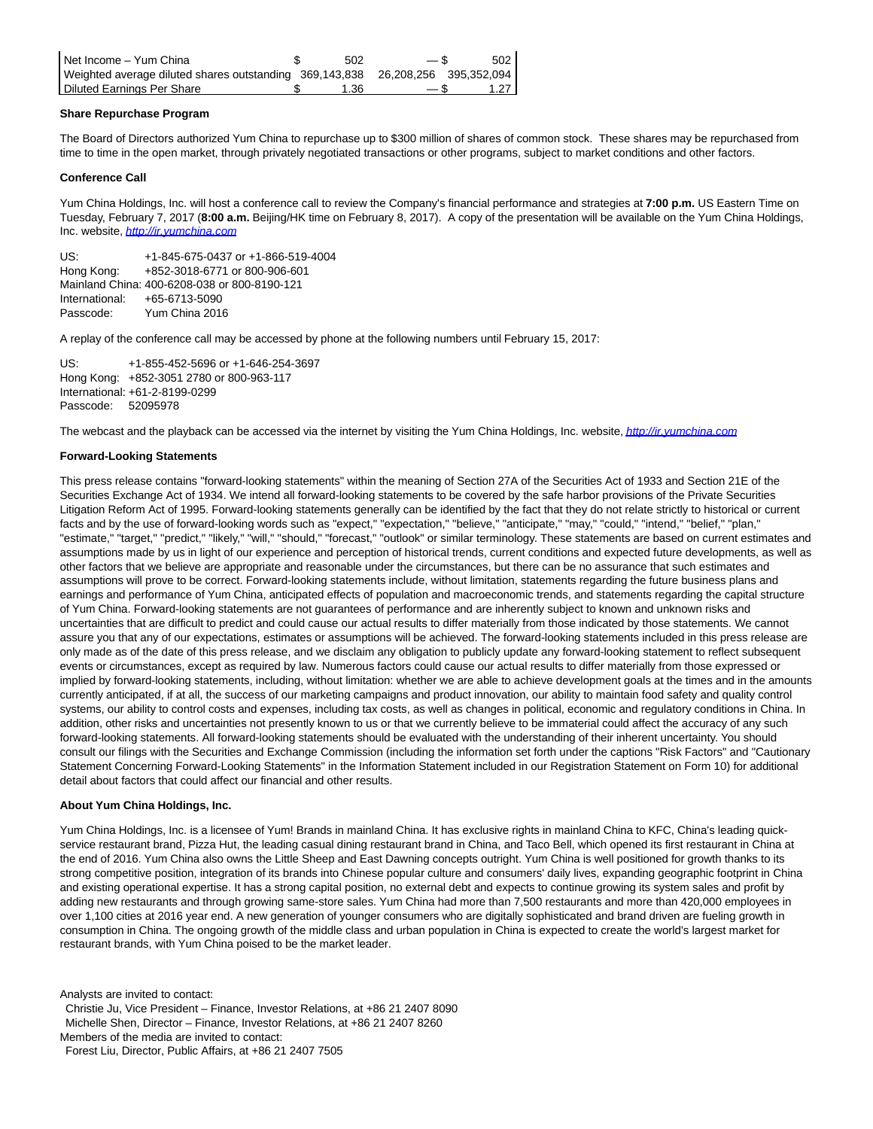| l Net Income - Yum China                                                       | 502  | — \$   | 502    |
|--------------------------------------------------------------------------------|------|--------|--------|
| Weighted average diluted shares outstanding 369,143,838 26,208,256 395,352,094 |      |        |        |
| l Diluted Earnings Per Share                                                   | l.36 | $-$ \$ | 1.27 I |

## **Share Repurchase Program**

The Board of Directors authorized Yum China to repurchase up to \$300 million of shares of common stock. These shares may be repurchased from time to time in the open market, through privately negotiated transactions or other programs, subject to market conditions and other factors.

#### **Conference Call**

Yum China Holdings, Inc. will host a conference call to review the Company's financial performance and strategies at **7:00 p.m.** US Eastern Time on Tuesday, February 7, 2017 (**8:00 a.m.** Beijing/HK time on February 8, 2017). A copy of the presentation will be available on the Yum China Holdings, Inc. website, [http://ir.yumchina.com](http://ir.yumchina.com/)

US: +1-845-675-0437 or +1-866-519-4004 Hong Kong: +852-3018-6771 or 800-906-601 Mainland China: 400-6208-038 or 800-8190-121 International: +65-6713-5090 Passcode: Yum China 2016

A replay of the conference call may be accessed by phone at the following numbers until February 15, 2017:

US: +1-855-452-5696 or +1-646-254-3697 Hong Kong: +852-3051 2780 or 800-963-117 International: +61-2-8199-0299 Passcode: 52095978

The webcast and the playback can be accessed via the internet by visiting the Yum China Holdings, Inc. website, [http://ir.yumchina.com](http://ir.yumchina.com/)

#### **Forward-Looking Statements**

This press release contains "forward-looking statements" within the meaning of Section 27A of the Securities Act of 1933 and Section 21E of the Securities Exchange Act of 1934. We intend all forward-looking statements to be covered by the safe harbor provisions of the Private Securities Litigation Reform Act of 1995. Forward-looking statements generally can be identified by the fact that they do not relate strictly to historical or current facts and by the use of forward-looking words such as "expect," "expectation," "believe," "anticipate," "may," "could," "intend," "belief," "plan," "estimate," "target," "predict," "likely," "will," "should," "forecast," "outlook" or similar terminology. These statements are based on current estimates and assumptions made by us in light of our experience and perception of historical trends, current conditions and expected future developments, as well as other factors that we believe are appropriate and reasonable under the circumstances, but there can be no assurance that such estimates and assumptions will prove to be correct. Forward-looking statements include, without limitation, statements regarding the future business plans and earnings and performance of Yum China, anticipated effects of population and macroeconomic trends, and statements regarding the capital structure of Yum China. Forward-looking statements are not guarantees of performance and are inherently subject to known and unknown risks and uncertainties that are difficult to predict and could cause our actual results to differ materially from those indicated by those statements. We cannot assure you that any of our expectations, estimates or assumptions will be achieved. The forward-looking statements included in this press release are only made as of the date of this press release, and we disclaim any obligation to publicly update any forward-looking statement to reflect subsequent events or circumstances, except as required by law. Numerous factors could cause our actual results to differ materially from those expressed or implied by forward-looking statements, including, without limitation: whether we are able to achieve development goals at the times and in the amounts currently anticipated, if at all, the success of our marketing campaigns and product innovation, our ability to maintain food safety and quality control systems, our ability to control costs and expenses, including tax costs, as well as changes in political, economic and regulatory conditions in China. In addition, other risks and uncertainties not presently known to us or that we currently believe to be immaterial could affect the accuracy of any such forward-looking statements. All forward-looking statements should be evaluated with the understanding of their inherent uncertainty. You should consult our filings with the Securities and Exchange Commission (including the information set forth under the captions "Risk Factors" and "Cautionary Statement Concerning Forward-Looking Statements" in the Information Statement included in our Registration Statement on Form 10) for additional detail about factors that could affect our financial and other results.

### **About Yum China Holdings, Inc.**

Yum China Holdings, Inc. is a licensee of Yum! Brands in mainland China. It has exclusive rights in mainland China to KFC, China's leading quickservice restaurant brand, Pizza Hut, the leading casual dining restaurant brand in China, and Taco Bell, which opened its first restaurant in China at the end of 2016. Yum China also owns the Little Sheep and East Dawning concepts outright. Yum China is well positioned for growth thanks to its strong competitive position, integration of its brands into Chinese popular culture and consumers' daily lives, expanding geographic footprint in China and existing operational expertise. It has a strong capital position, no external debt and expects to continue growing its system sales and profit by adding new restaurants and through growing same-store sales. Yum China had more than 7,500 restaurants and more than 420,000 employees in over 1,100 cities at 2016 year end. A new generation of younger consumers who are digitally sophisticated and brand driven are fueling growth in consumption in China. The ongoing growth of the middle class and urban population in China is expected to create the world's largest market for restaurant brands, with Yum China poised to be the market leader.

Analysts are invited to contact:

Christie Ju, Vice President – Finance, Investor Relations, at +86 21 2407 8090

Michelle Shen, Director – Finance, Investor Relations, at +86 21 2407 8260

Members of the media are invited to contact:

Forest Liu, Director, Public Affairs, at +86 21 2407 7505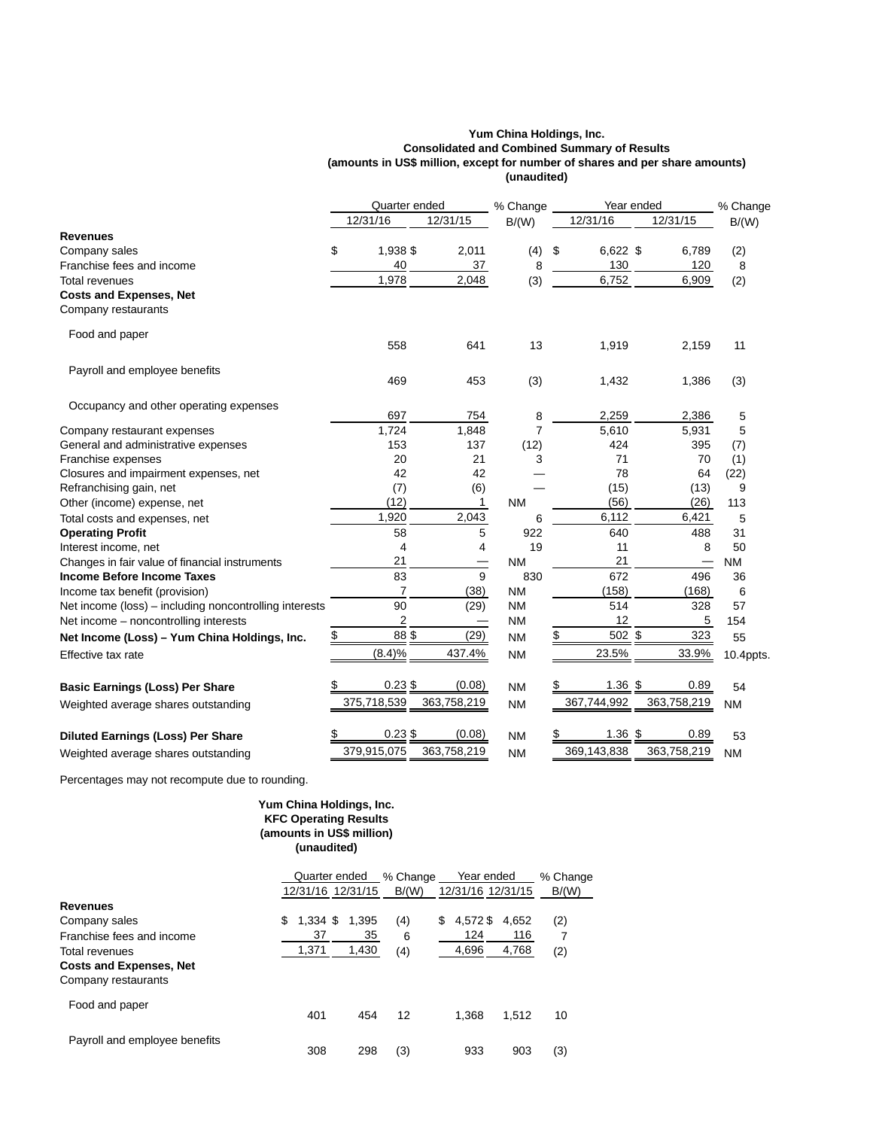## **Yum China Holdings, Inc. Consolidated and Combined Summary of Results (amounts in US\$ million, except for number of shares and per share amounts) (unaudited)**

|                                                        | Quarter ended  |                          | % Change  | Year ended       |             | % Change  |
|--------------------------------------------------------|----------------|--------------------------|-----------|------------------|-------------|-----------|
|                                                        | 12/31/16       | 12/31/15                 | B/(W)     | 12/31/16         | 12/31/15    | B/(W)     |
| <b>Revenues</b>                                        |                |                          |           |                  |             |           |
| Company sales                                          | \$<br>1,938 \$ | 2,011                    | (4)       | \$<br>$6,622$ \$ | 6,789       | (2)       |
| Franchise fees and income                              | 40             | 37                       | 8         | 130              | 120         | 8         |
| Total revenues                                         | 1,978          | 2,048                    | (3)       | 6,752            | 6,909       | (2)       |
| <b>Costs and Expenses, Net</b>                         |                |                          |           |                  |             |           |
| Company restaurants                                    |                |                          |           |                  |             |           |
| Food and paper                                         |                |                          |           |                  |             |           |
|                                                        | 558            | 641                      | 13        | 1,919            | 2,159       | 11        |
| Payroll and employee benefits                          |                |                          |           |                  |             |           |
|                                                        | 469            | 453                      | (3)       | 1,432            | 1,386       | (3)       |
| Occupancy and other operating expenses                 | 697            | 754                      | 8         | 2,259            | 2,386       | 5         |
| Company restaurant expenses                            | 1,724          | 1,848                    | 7         | 5,610            | 5,931       | 5         |
| General and administrative expenses                    | 153            | 137                      | (12)      | 424              | 395         | (7)       |
| Franchise expenses                                     | 20             | 21                       | 3         | 71               | 70          | (1)       |
| Closures and impairment expenses, net                  | 42             | 42                       |           | 78               | 64          | (22)      |
| Refranchising gain, net                                | (7)            | (6)                      |           | (15)             | (13)        | 9         |
| Other (income) expense, net                            | (12)           | $\mathbf{1}$             | <b>NM</b> | (56)             | (26)        | 113       |
| Total costs and expenses, net                          | 1,920          | 2,043                    | 6         | 6,112            | 6,421       | 5         |
| <b>Operating Profit</b>                                | 58             | 5                        | 922       | 640              | 488         | 31        |
| Interest income, net                                   | 4              | 4                        | 19        | 11               | 8           | 50        |
| Changes in fair value of financial instruments         | 21             |                          | <b>NM</b> | 21               |             | <b>NM</b> |
| <b>Income Before Income Taxes</b>                      | 83             | 9                        | 830       | 672              | 496         | 36        |
| Income tax benefit (provision)                         | $\overline{7}$ | (38)                     | <b>NM</b> | (158)            | (168)       | 6         |
| Net income (loss) - including noncontrolling interests | 90             | (29)                     | <b>NM</b> | 514              | 328         | 57        |
| Net income - noncontrolling interests                  | 2              | $\overline{\phantom{0}}$ | <b>NM</b> | 12               | 5           | 154       |
| Net Income (Loss) - Yum China Holdings, Inc.           | \$<br>88\$     | (29)                     | <b>NM</b> | \$<br>502 \$     | 323         | 55        |
| Effective tax rate                                     | (8.4)%         | 437.4%                   | <b>NM</b> | 23.5%            | 33.9%       | 10.4ppts. |
| <b>Basic Earnings (Loss) Per Share</b>                 | $0.23$ \$      | (0.08)                   | <b>NM</b> | \$<br>$1.36$ \$  | 0.89        | 54        |
| Weighted average shares outstanding                    | 375,718,539    | 363,758,219              | <b>NM</b> | 367,744,992      | 363,758,219 | <b>NM</b> |
|                                                        |                |                          |           |                  |             |           |
| <b>Diluted Earnings (Loss) Per Share</b>               | $0.23$ \$      | (0.08)                   | <b>NM</b> | \$<br>$1.36$ \$  | 0.89        | 53        |
| Weighted average shares outstanding                    | 379,915,075    | 363,758,219              | <b>NM</b> | 369,143,838      | 363,758,219 | <b>NM</b> |

Percentages may not recompute due to rounding.

# **Yum China Holdings, Inc. KFC Operating Results (amounts in US\$ million) (unaudited)**

|                                                       | Quarter ended    |                   | % Change |                   | Year ended | % Change |
|-------------------------------------------------------|------------------|-------------------|----------|-------------------|------------|----------|
|                                                       |                  | 12/31/16 12/31/15 | B/(W)    | 12/31/16 12/31/15 |            | B/(W)    |
| <b>Revenues</b>                                       |                  |                   |          |                   |            |          |
| Company sales                                         | \$<br>$1.334$ \$ | 1.395             | (4)      | 4.572\$<br>\$     | 4,652      | (2)      |
| Franchise fees and income                             | 37               | 35                | 6        | 124               | 116        | 7        |
| Total revenues                                        | 1,371            | 1,430             | (4)      | 4,696             | 4,768      | (2)      |
| <b>Costs and Expenses, Net</b><br>Company restaurants |                  |                   |          |                   |            |          |
| Food and paper                                        | 401              | 454               | 12       | 1.368             | 1.512      | 10       |
| Payroll and employee benefits                         | 308              | 298               | (3)      | 933               | 903        | (3)      |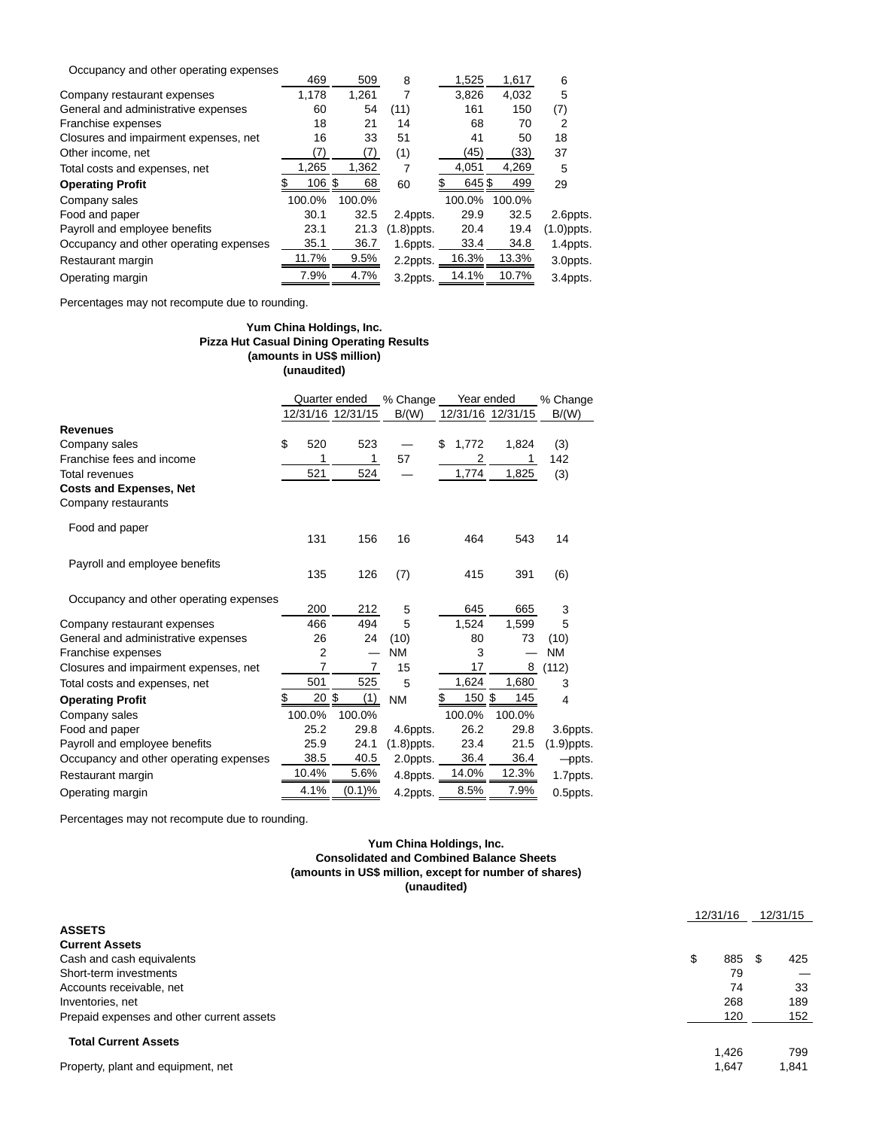| Occupancy and other operating expenses |                   |        |               |        |        |            |
|----------------------------------------|-------------------|--------|---------------|--------|--------|------------|
|                                        | 469               | 509    | 8             | 1,525  | 1,617  | 6          |
| Company restaurant expenses            | 1,178             | 1,261  |               | 3,826  | 4,032  | 5          |
| General and administrative expenses    | 60                | 54     | (11)          | 161    | 150    | (7)        |
| Franchise expenses                     | 18                | 21     | 14            | 68     | 70     | 2          |
| Closures and impairment expenses, net  | 16                | 33     | 51            | 41     | 50     | 18         |
| Other income, net                      | (7)               | (7)    | (1)           | (45)   | (33)   | 37         |
| Total costs and expenses, net          | 1.265             | 1,362  |               | 4,051  | 4,269  | 5          |
| <b>Operating Profit</b>                | $106 \text{ }$ \$ | 68     | 60            | 645\$  | 499    | 29         |
| Company sales                          | 100.0%            | 100.0% |               | 100.0% | 100.0% |            |
| Food and paper                         | 30.1              | 32.5   | 2.4ppts.      | 29.9   | 32.5   | 2.6ppts.   |
| Payroll and employee benefits          | 23.1              | 21.3   | $(1.8)$ ppts. | 20.4   | 19.4   | (1.0)ppts. |
| Occupancy and other operating expenses | 35.1              | 36.7   | 1.6ppts.      | 33.4   | 34.8   | 1.4ppts.   |
| Restaurant margin                      | 11.7%             | 9.5%   | 2.2ppts.      | 16.3%  | 13.3%  | 3.0ppts.   |
| Operating margin                       | 7.9%              | 4.7%   | 3.2ppts.      | 14.1%  | 10.7%  | 3.4ppts.   |

Percentages may not recompute due to rounding.

## **Yum China Holdings, Inc. Pizza Hut Casual Dining Operating Results (amounts in US\$ million) (unaudited)**

|                                                       | Quarter ended    |                   | Year ended<br>% Change |              |                   | % Change      |
|-------------------------------------------------------|------------------|-------------------|------------------------|--------------|-------------------|---------------|
|                                                       |                  | 12/31/16 12/31/15 | B/(W)                  |              | 12/31/16 12/31/15 | B/(W)         |
| <b>Revenues</b>                                       |                  |                   |                        |              |                   |               |
| Company sales                                         | \$<br>520        | 523               |                        | \$<br>1,772  | 1,824             | (3)           |
| Franchise fees and income                             | 1                | 1                 | 57                     | 2            |                   | 142           |
| Total revenues                                        | 521              | 524               |                        | 1,774        | 1,825             | (3)           |
| <b>Costs and Expenses, Net</b><br>Company restaurants |                  |                   |                        |              |                   |               |
| Food and paper                                        | 131              | 156               | 16                     | 464          | 543               | 14            |
| Payroll and employee benefits                         | 135              | 126               | (7)                    | 415          | 391               | (6)           |
| Occupancy and other operating expenses                | 200              | 212               | 5                      | 645          | 665               | 3             |
| Company restaurant expenses                           | 466              | 494               | 5                      | 1,524        | 1,599             | 5             |
| General and administrative expenses                   | 26               | 24                | (10)                   | 80           | 73                | (10)          |
| Franchise expenses                                    | $\overline{2}$   |                   | <b>NM</b>              | 3            |                   | <b>NM</b>     |
| Closures and impairment expenses, net                 | 7                | 7                 | 15                     | 17           | 8                 | (112)         |
| Total costs and expenses, net                         | 501              | 525               | 5                      | 1,624        | 1,680             | 3             |
| <b>Operating Profit</b>                               | $20 \text{ }$ \$ | (1)               | <b>NM</b>              | 150 \$<br>\$ | 145               | 4             |
| Company sales                                         | 100.0%           | 100.0%            |                        | 100.0%       | 100.0%            |               |
| Food and paper                                        | 25.2             | 29.8              | 4.6ppts.               | 26.2         | 29.8              | 3.6ppts.      |
| Payroll and employee benefits                         | 25.9             | 24.1              | $(1.8)$ ppts.          | 23.4         | 21.5              | $(1.9)$ ppts. |
| Occupancy and other operating expenses                | 38.5             | 40.5              | 2.0ppts. $\_$          | 36.4         | 36.4              | -ppts.        |
| Restaurant margin                                     | 10.4%            | 5.6%              | $4.8$ ppts. $\_\_$     | 14.0%        | 12.3%             | 1.7ppts.      |
| Operating margin                                      | 4.1%             | (0.1)%            | $4.2$ ppts. $\_\_$     | 8.5%         | 7.9%              | 0.5ppts.      |

Percentages may not recompute due to rounding.

## **Yum China Holdings, Inc. Consolidated and Combined Balance Sheets (amounts in US\$ million, except for number of shares) (unaudited)**

|                                           | 12/31/16 | 12/31/15    |  |
|-------------------------------------------|----------|-------------|--|
| <b>ASSETS</b>                             |          |             |  |
| <b>Current Assets</b>                     |          |             |  |
| Cash and cash equivalents                 | 885<br>S | 425<br>- 35 |  |
| Short-term investments                    | 79       |             |  |
| Accounts receivable, net                  | 74       | 33          |  |
| Inventories, net                          | 268      | 189         |  |
| Prepaid expenses and other current assets | 120      | 152         |  |
| <b>Total Current Assets</b>               |          |             |  |
|                                           | 1.426    | 799         |  |
| Property, plant and equipment, net        | 1,647    | 1,841       |  |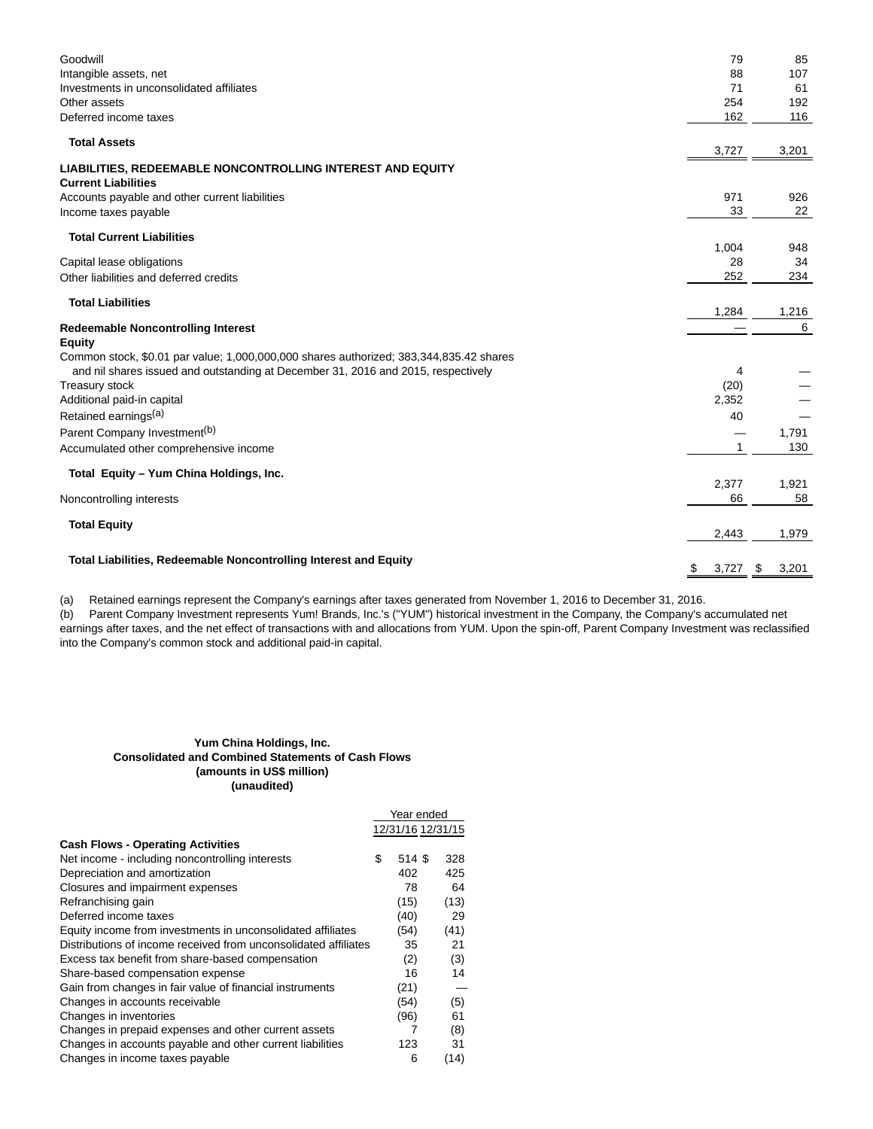| Goodwill<br>Intangible assets, net<br>Investments in unconsolidated affiliates<br>Other assets<br>Deferred income taxes | 79<br>88<br>71<br>254<br>162 | 85<br>107<br>61<br>192<br>116 |
|-------------------------------------------------------------------------------------------------------------------------|------------------------------|-------------------------------|
| <b>Total Assets</b>                                                                                                     | 3,727                        | 3,201                         |
| <b>LIABILITIES, REDEEMABLE NONCONTROLLING INTEREST AND EQUITY</b><br><b>Current Liabilities</b>                         |                              |                               |
| Accounts payable and other current liabilities<br>Income taxes payable                                                  | 971<br>33                    | 926<br>22                     |
| <b>Total Current Liabilities</b>                                                                                        |                              |                               |
| Capital lease obligations                                                                                               | 1,004<br>28                  | 948<br>34                     |
| Other liabilities and deferred credits                                                                                  | 252                          | 234                           |
| <b>Total Liabilities</b>                                                                                                |                              |                               |
|                                                                                                                         | 1,284                        | 1,216<br>6                    |
| <b>Redeemable Noncontrolling Interest</b><br><b>Equity</b>                                                              |                              |                               |
| Common stock, \$0.01 par value; 1,000,000,000 shares authorized; 383,344,835.42 shares                                  |                              |                               |
| and nil shares issued and outstanding at December 31, 2016 and 2015, respectively                                       | 4                            |                               |
| Treasury stock                                                                                                          | (20)                         |                               |
| Additional paid-in capital                                                                                              | 2,352                        |                               |
| Retained earnings <sup>(a)</sup>                                                                                        | 40                           |                               |
| Parent Company Investment <sup>(b)</sup>                                                                                |                              | 1,791                         |
| Accumulated other comprehensive income                                                                                  | $\mathbf{1}$                 | 130                           |
| Total Equity - Yum China Holdings, Inc.                                                                                 |                              |                               |
|                                                                                                                         | 2,377                        | 1,921                         |
| Noncontrolling interests                                                                                                | 66                           | 58                            |
| <b>Total Equity</b>                                                                                                     | 2,443                        | 1,979                         |
|                                                                                                                         |                              |                               |
| Total Liabilities, Redeemable Noncontrolling Interest and Equity                                                        | \$<br>3,727                  | \$<br>3,201                   |

(a) Retained earnings represent the Company's earnings after taxes generated from November 1, 2016 to December 31, 2016.

(b) Parent Company Investment represents Yum! Brands, Inc.'s ("YUM") historical investment in the Company, the Company's accumulated net earnings after taxes, and the net effect of transactions with and allocations from YUM. Upon the spin-off, Parent Company Investment was reclassified into the Company's common stock and additional paid-in capital.

## **Yum China Holdings, Inc. Consolidated and Combined Statements of Cash Flows (amounts in US\$ million) (unaudited)**

|                                                                 | Year ended        |      |
|-----------------------------------------------------------------|-------------------|------|
|                                                                 | 12/31/16 12/31/15 |      |
| <b>Cash Flows - Operating Activities</b>                        |                   |      |
| Net income - including noncontrolling interests                 | \$<br>514 \$      | 328  |
| Depreciation and amortization                                   | 402               | 425  |
| Closures and impairment expenses                                | 78                | 64   |
| Refranchising gain                                              | (15)              | (13) |
| Deferred income taxes                                           | (40)              | 29   |
| Equity income from investments in unconsolidated affiliates     | (54)              | (41) |
| Distributions of income received from unconsolidated affiliates | 35                | 21   |
| Excess tax benefit from share-based compensation                | (2)               | (3)  |
| Share-based compensation expense                                | 16                | 14   |
| Gain from changes in fair value of financial instruments        | (21)              |      |
| Changes in accounts receivable                                  | (54)              | (5)  |
| Changes in inventories                                          | (96)              | 61   |
| Changes in prepaid expenses and other current assets            |                   | (8)  |
| Changes in accounts payable and other current liabilities       | 123               | 31   |
| Changes in income taxes payable                                 | 6                 | (14) |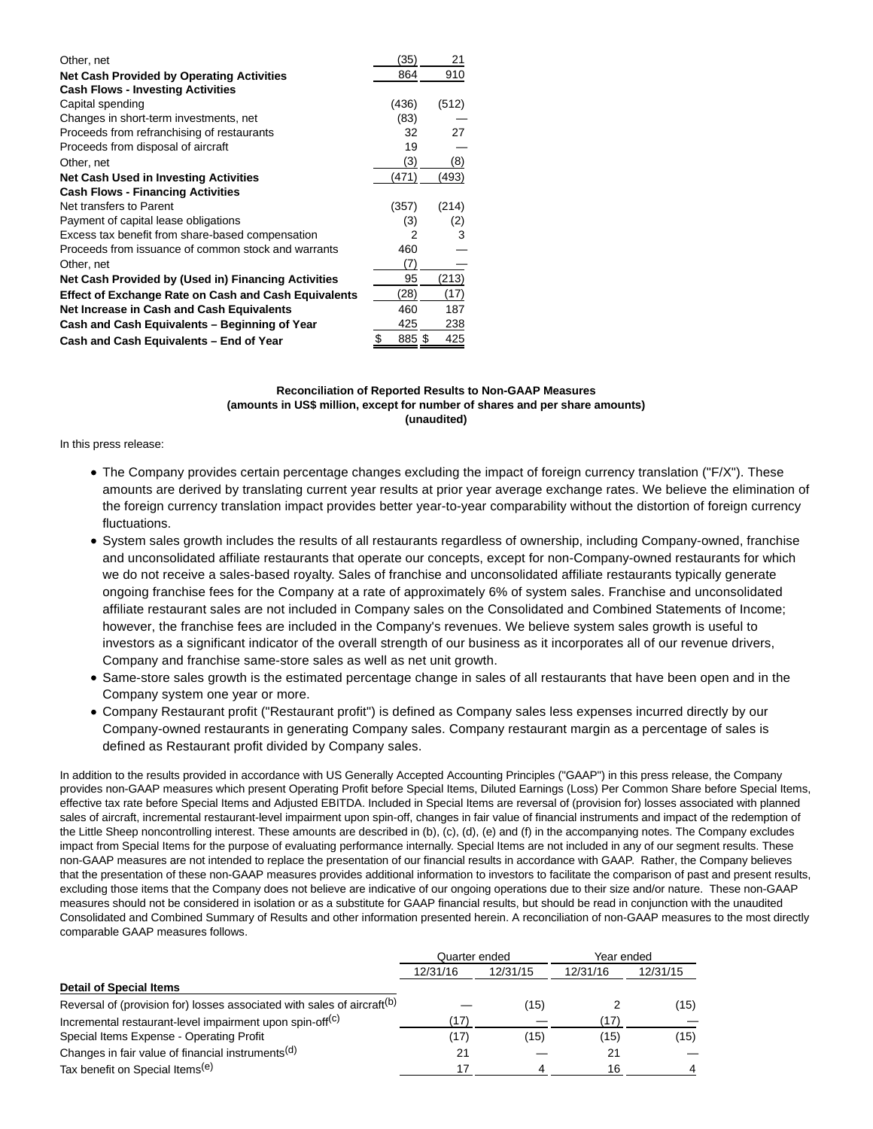| Other, net                                                  | 35)   | 21    |
|-------------------------------------------------------------|-------|-------|
| <b>Net Cash Provided by Operating Activities</b>            | 864   | 910   |
| <b>Cash Flows - Investing Activities</b>                    |       |       |
| Capital spending                                            | (436) | (512) |
| Changes in short-term investments, net                      | (83)  |       |
| Proceeds from refranchising of restaurants                  | 32    | 27    |
| Proceeds from disposal of aircraft                          | 19    |       |
| Other, net                                                  | (3)   | (8)   |
| <b>Net Cash Used in Investing Activities</b>                | (471) | (493) |
| <b>Cash Flows - Financing Activities</b>                    |       |       |
| Net transfers to Parent                                     | (357) | (214) |
| Payment of capital lease obligations                        | (3)   | (2)   |
| Excess tax benefit from share-based compensation            | 2     | 3     |
| Proceeds from issuance of common stock and warrants         | 460   |       |
| Other, net                                                  | (7)   |       |
| Net Cash Provided by (Used in) Financing Activities         | 95    | (213) |
| <b>Effect of Exchange Rate on Cash and Cash Equivalents</b> | (28)  | (17)  |
| Net Increase in Cash and Cash Equivalents                   | 460   | 187   |
| Cash and Cash Equivalents - Beginning of Year               | 425   | 238   |
| Cash and Cash Equivalents - End of Year                     | 885\$ | 425   |

## **Reconciliation of Reported Results to Non-GAAP Measures (amounts in US\$ million, except for number of shares and per share amounts) (unaudited)**

#### In this press release:

- The Company provides certain percentage changes excluding the impact of foreign currency translation ("F/X"). These amounts are derived by translating current year results at prior year average exchange rates. We believe the elimination of the foreign currency translation impact provides better year-to-year comparability without the distortion of foreign currency fluctuations.
- System sales growth includes the results of all restaurants regardless of ownership, including Company-owned, franchise and unconsolidated affiliate restaurants that operate our concepts, except for non-Company-owned restaurants for which we do not receive a sales-based royalty. Sales of franchise and unconsolidated affiliate restaurants typically generate ongoing franchise fees for the Company at a rate of approximately 6% of system sales. Franchise and unconsolidated affiliate restaurant sales are not included in Company sales on the Consolidated and Combined Statements of Income; however, the franchise fees are included in the Company's revenues. We believe system sales growth is useful to investors as a significant indicator of the overall strength of our business as it incorporates all of our revenue drivers, Company and franchise same-store sales as well as net unit growth.
- Same-store sales growth is the estimated percentage change in sales of all restaurants that have been open and in the Company system one year or more.
- Company Restaurant profit ("Restaurant profit") is defined as Company sales less expenses incurred directly by our Company-owned restaurants in generating Company sales. Company restaurant margin as a percentage of sales is defined as Restaurant profit divided by Company sales.

In addition to the results provided in accordance with US Generally Accepted Accounting Principles ("GAAP") in this press release, the Company provides non-GAAP measures which present Operating Profit before Special Items, Diluted Earnings (Loss) Per Common Share before Special Items, effective tax rate before Special Items and Adjusted EBITDA. Included in Special Items are reversal of (provision for) losses associated with planned sales of aircraft, incremental restaurant-level impairment upon spin-off, changes in fair value of financial instruments and impact of the redemption of the Little Sheep noncontrolling interest. These amounts are described in (b), (c), (d), (e) and (f) in the accompanying notes. The Company excludes impact from Special Items for the purpose of evaluating performance internally. Special Items are not included in any of our segment results. These non-GAAP measures are not intended to replace the presentation of our financial results in accordance with GAAP. Rather, the Company believes that the presentation of these non-GAAP measures provides additional information to investors to facilitate the comparison of past and present results, excluding those items that the Company does not believe are indicative of our ongoing operations due to their size and/or nature. These non-GAAP measures should not be considered in isolation or as a substitute for GAAP financial results, but should be read in conjunction with the unaudited Consolidated and Combined Summary of Results and other information presented herein. A reconciliation of non-GAAP measures to the most directly comparable GAAP measures follows.

|                                                                                     | Quarter ended |          | Year ended |          |
|-------------------------------------------------------------------------------------|---------------|----------|------------|----------|
|                                                                                     | 12/31/16      | 12/31/15 | 12/31/16   | 12/31/15 |
| <b>Detail of Special Items</b>                                                      |               |          |            |          |
| Reversal of (provision for) losses associated with sales of aircraft <sup>(b)</sup> |               | (15)     |            | (15)     |
| Incremental restaurant-level impairment upon spin-off <sup>(c)</sup>                |               |          | '17)       |          |
| Special Items Expense - Operating Profit                                            | (17)          | (15)     | (15)       | (15)     |
| Changes in fair value of financial instruments <sup>(d)</sup>                       | 21            |          | 21         |          |
| Tax benefit on Special Items <sup>(e)</sup>                                         |               | 4        | 16         |          |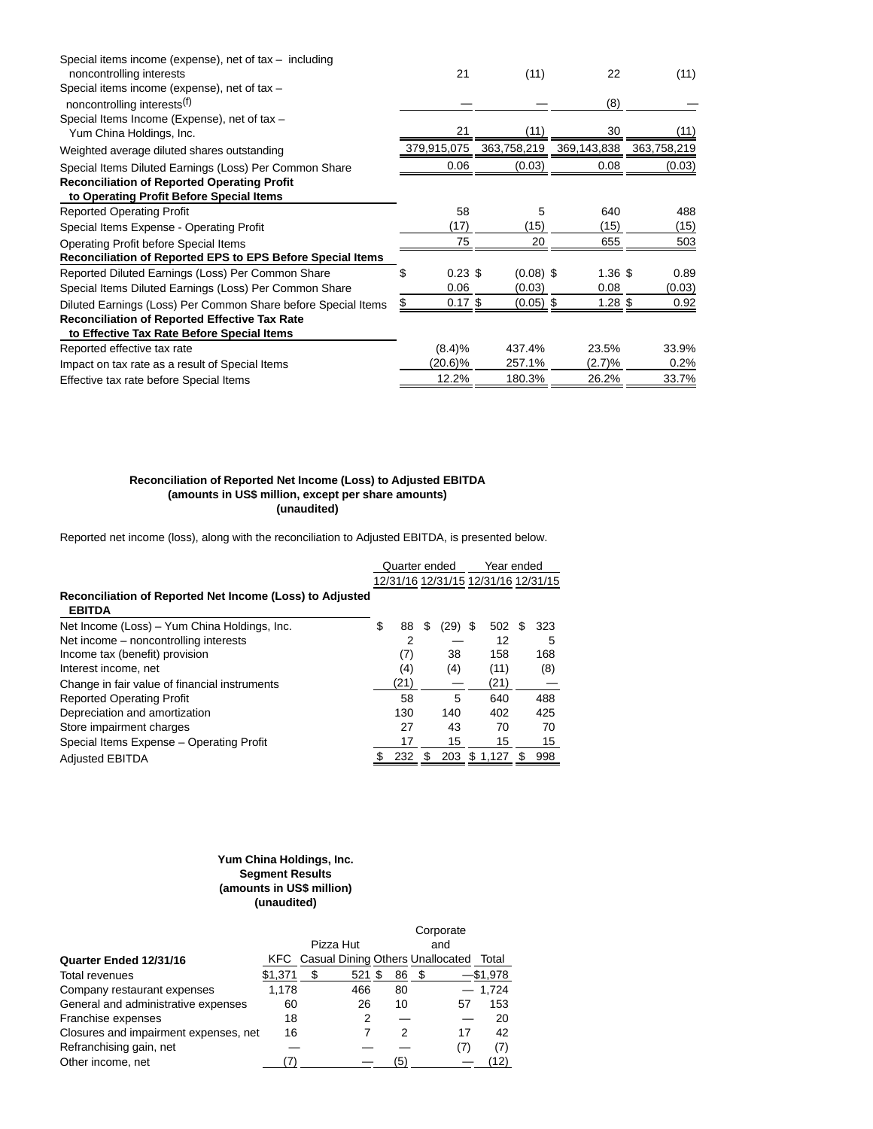| Special items income (expense), net of $tax - including$<br>noncontrolling interests           | 21              | (11)        | 22          | (11)        |
|------------------------------------------------------------------------------------------------|-----------------|-------------|-------------|-------------|
| Special items income (expense), net of tax -                                                   |                 |             |             |             |
| noncontrolling interests <sup>(f)</sup>                                                        |                 |             | (8)         |             |
| Special Items Income (Expense), net of tax -                                                   |                 |             |             |             |
| Yum China Holdings, Inc.                                                                       | 21              | (11)        | 30          | (11)        |
| Weighted average diluted shares outstanding                                                    | 379,915,075     | 363,758,219 | 369,143,838 | 363,758,219 |
| Special Items Diluted Earnings (Loss) Per Common Share                                         | 0.06            | (0.03)      | 0.08        | (0.03)      |
| <b>Reconciliation of Reported Operating Profit</b><br>to Operating Profit Before Special Items |                 |             |             |             |
| <b>Reported Operating Profit</b>                                                               | 58              | 5           | 640         | 488         |
| Special Items Expense - Operating Profit                                                       | (17)            | (15)        | (15)        | (15)        |
| Operating Profit before Special Items                                                          | 75              | 20          | 655         | 503         |
| <b>Reconciliation of Reported EPS to EPS Before Special Items</b>                              |                 |             |             |             |
| Reported Diluted Earnings (Loss) Per Common Share                                              | $0.23$ \$<br>\$ | $(0.08)$ \$ | $1.36$ \$   | 0.89        |
| Special Items Diluted Earnings (Loss) Per Common Share                                         | 0.06            | (0.03)      | 0.08        | (0.03)      |
| Diluted Earnings (Loss) Per Common Share before Special Items                                  | $0.17$ \$<br>\$ | $(0.05)$ \$ | $1.28$ \$   | 0.92        |
| <b>Reconciliation of Reported Effective Tax Rate</b>                                           |                 |             |             |             |
| to Effective Tax Rate Before Special Items                                                     |                 |             |             |             |
| Reported effective tax rate                                                                    | (8.4)%          | 437.4%      | 23.5%       | 33.9%       |
| Impact on tax rate as a result of Special Items                                                | (20.6)%         | 257.1%      | (2.7)%      | 0.2%        |
| Effective tax rate before Special Items                                                        | 12.2%           | 180.3%      | 26.2%       | 33.7%       |

### **Reconciliation of Reported Net Income (Loss) to Adjusted EBITDA (amounts in US\$ million, except per share amounts) (unaudited)**

Reported net income (loss), along with the reconciliation to Adjusted EBITDA, is presented below.

|                                                                           | Quarter ended  |   |      | Year ended                          |   |     |  |  |
|---------------------------------------------------------------------------|----------------|---|------|-------------------------------------|---|-----|--|--|
|                                                                           |                |   |      | 12/31/16 12/31/15 12/31/16 12/31/15 |   |     |  |  |
| Reconciliation of Reported Net Income (Loss) to Adjusted<br><b>EBITDA</b> |                |   |      |                                     |   |     |  |  |
| Net Income (Loss) – Yum China Holdings, Inc.                              | \$<br>88       | S | (29) | 502<br>S                            | S | 323 |  |  |
| Net income – noncontrolling interests                                     | $\overline{2}$ |   |      | 12                                  |   | 5   |  |  |
| Income tax (benefit) provision                                            | (7)            |   | 38   | 158                                 |   | 168 |  |  |
| Interest income, net                                                      | (4)            |   | (4)  | (11)                                |   | (8) |  |  |
| Change in fair value of financial instruments                             | (21)           |   |      | (21)                                |   |     |  |  |
| <b>Reported Operating Profit</b>                                          | 58             |   | 5    | 640                                 |   | 488 |  |  |
| Depreciation and amortization                                             | 130            |   | 140  | 402                                 |   | 425 |  |  |
| Store impairment charges                                                  | 27             |   | 43   | 70                                  |   | 70  |  |  |
| Special Items Expense - Operating Profit                                  | 17             |   | 15   | 15                                  |   | 15  |  |  |
| <b>Adjusted EBITDA</b>                                                    | 232            | S | 203  | 1,127<br>\$                         |   | 998 |  |  |

# **Yum China Holdings, Inc. Segment Results (amounts in US\$ million) (unaudited)**

|                                       | Corporate |   |           |     |                                             |             |  |
|---------------------------------------|-----------|---|-----------|-----|---------------------------------------------|-------------|--|
|                                       |           |   | Pizza Hut |     | and                                         |             |  |
| Quarter Ended 12/31/16                |           |   |           |     | <b>KFC</b> Casual Dining Others Unallocated | Total       |  |
| <b>Total revenues</b>                 | \$1,371   | S | 521 \$    | 86  | - 35                                        | $-$ \$1,978 |  |
| Company restaurant expenses           | 1.178     |   | 466       | 80  |                                             | 1.724       |  |
| General and administrative expenses   | 60        |   | 26        | 10  | 57                                          | 153         |  |
| Franchise expenses                    | 18        |   | 2         |     |                                             | 20          |  |
| Closures and impairment expenses, net | 16        |   |           | 2   | 17                                          | 42          |  |
| Refranchising gain, net               |           |   |           |     | (7)                                         | (7)         |  |
| Other income, net                     |           |   |           | '5) |                                             | (12)        |  |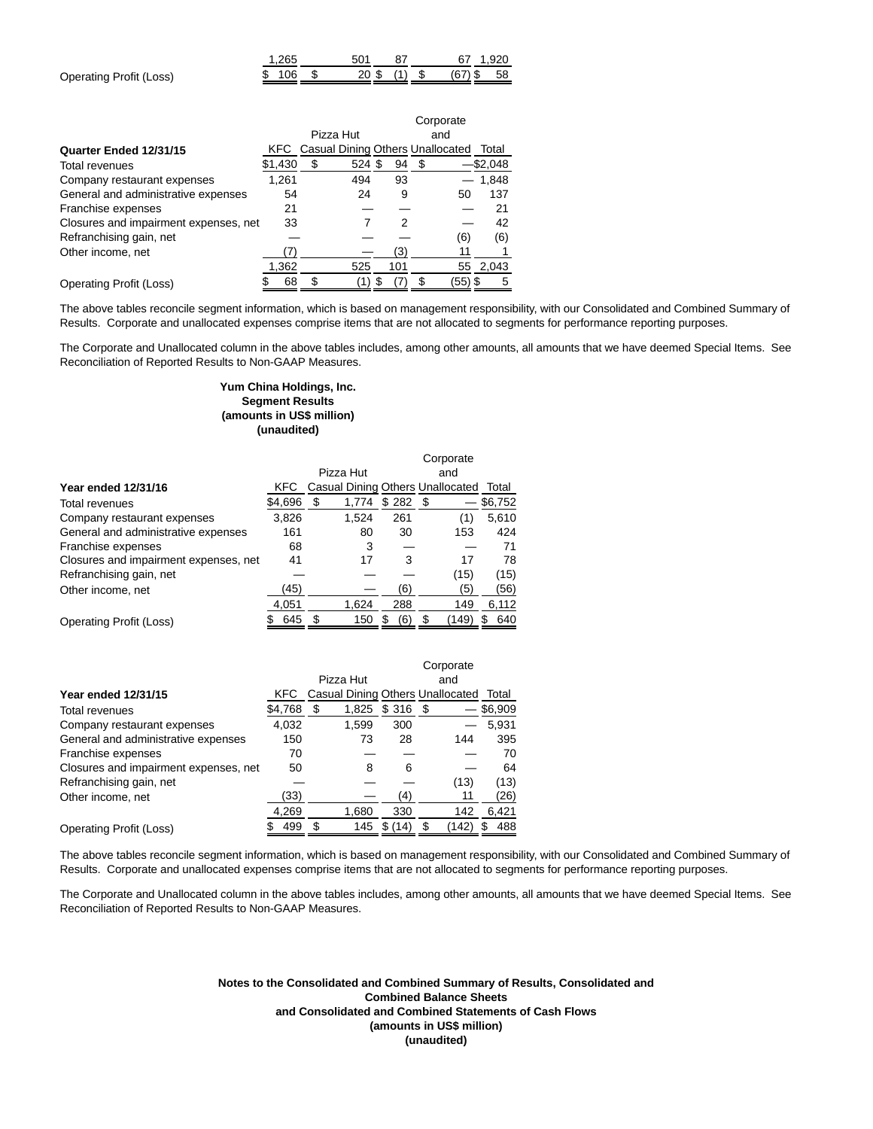|                         | 265     | 501 |  |                         | 67 1.920 |
|-------------------------|---------|-----|--|-------------------------|----------|
| Operating Profit (Loss) | \$106\$ |     |  | 20 \$ (1) \$ (67) \$ 58 |          |

|                                       |         | Corporate |                                             |     |     |         |          |  |
|---------------------------------------|---------|-----------|---------------------------------------------|-----|-----|---------|----------|--|
|                                       |         |           | Pizza Hut                                   |     | and |         |          |  |
| Quarter Ended 12/31/15                |         |           | <b>KFC</b> Casual Dining Others Unallocated |     |     |         | Total    |  |
| <b>Total revenues</b>                 | \$1,430 | \$        | 524 \$                                      | 94  | S   |         | –\$2,048 |  |
| Company restaurant expenses           | 1,261   |           | 494                                         | 93  |     |         | 1,848    |  |
| General and administrative expenses   | 54      |           | 24                                          | 9   |     | 50      | 137      |  |
| Franchise expenses                    | 21      |           |                                             |     |     |         | 21       |  |
| Closures and impairment expenses, net | 33      |           |                                             | 2   |     |         | 42       |  |
| Refranchising gain, net               |         |           |                                             |     |     | (6)     | (6)      |  |
| Other income, net                     |         |           |                                             | (3) |     | 11      |          |  |
|                                       | 1,362   |           | 525                                         | 101 |     | 55      | 2,043    |  |
| Operating Profit (Loss)               | 68      | S         |                                             |     |     | (55) \$ | 5        |  |

The above tables reconcile segment information, which is based on management responsibility, with our Consolidated and Combined Summary of Results. Corporate and unallocated expenses comprise items that are not allocated to segments for performance reporting purposes.

The Corporate and Unallocated column in the above tables includes, among other amounts, all amounts that we have deemed Special Items. See Reconciliation of Reported Results to Non-GAAP Measures.

## **Yum China Holdings, Inc. Segment Results (amounts in US\$ million) (unaudited)**

|                                       |         | Corporate                              |       |         |     |       |          |  |
|---------------------------------------|---------|----------------------------------------|-------|---------|-----|-------|----------|--|
|                                       |         | Pizza Hut                              |       |         | and |       |          |  |
| <b>Year ended 12/31/16</b>            | KFC     | Casual Dining Others Unallocated Total |       |         |     |       |          |  |
| <b>Total revenues</b>                 | \$4,696 | \$                                     | 1,774 | \$282\$ |     |       | \$6,752  |  |
| Company restaurant expenses           | 3,826   |                                        | 1,524 | 261     |     | (1)   | 5,610    |  |
| General and administrative expenses   | 161     |                                        | 80    | 30      |     | 153   | 424      |  |
| Franchise expenses                    | 68      |                                        | 3     |         |     |       | 71       |  |
| Closures and impairment expenses, net | 41      |                                        | 17    | 3       |     | 17    | 78       |  |
| Refranchising gain, net               |         |                                        |       |         |     | (15)  | (15)     |  |
| Other income, net                     | (45)    |                                        |       | (6)     |     | '5)   | (56)     |  |
|                                       | 4,051   |                                        | 1,624 | 288     |     | 149   | 6,112    |  |
| Operating Profit (Loss)               | 645     |                                        | 150   | (6<br>S | S   | (149) | 640<br>S |  |

|                                       |         | Corporate                        |            |            |         |  |  |  |
|---------------------------------------|---------|----------------------------------|------------|------------|---------|--|--|--|
|                                       |         | Pizza Hut                        |            | and        |         |  |  |  |
| <b>Year ended 12/31/15</b>            | KFC.    | Casual Dining Others Unallocated |            |            | Total   |  |  |  |
| Total revenues                        | \$4,768 | \$<br>1,825                      | $$316$ \$  |            | \$6,909 |  |  |  |
| Company restaurant expenses           | 4,032   | 1.599                            | 300        |            | 5,931   |  |  |  |
| General and administrative expenses   | 150     | 73                               | 28         | 144        | 395     |  |  |  |
| Franchise expenses                    | 70      |                                  |            |            | 70      |  |  |  |
| Closures and impairment expenses, net | 50      | 8                                | 6          |            | 64      |  |  |  |
| Refranchising gain, net               |         |                                  |            | (13)       | (13)    |  |  |  |
| Other income, net                     | (33)    |                                  | (4)        | 11         | (26)    |  |  |  |
|                                       | 4,269   | 1,680                            | 330        | 142        | 6,421   |  |  |  |
| <b>Operating Profit (Loss)</b>        | 499     | 145<br>S                         | \$<br>(14) | \$<br>142) | 488     |  |  |  |

The above tables reconcile segment information, which is based on management responsibility, with our Consolidated and Combined Summary of Results. Corporate and unallocated expenses comprise items that are not allocated to segments for performance reporting purposes.

The Corporate and Unallocated column in the above tables includes, among other amounts, all amounts that we have deemed Special Items. See Reconciliation of Reported Results to Non-GAAP Measures.

> **Notes to the Consolidated and Combined Summary of Results, Consolidated and Combined Balance Sheets and Consolidated and Combined Statements of Cash Flows (amounts in US\$ million) (unaudited)**